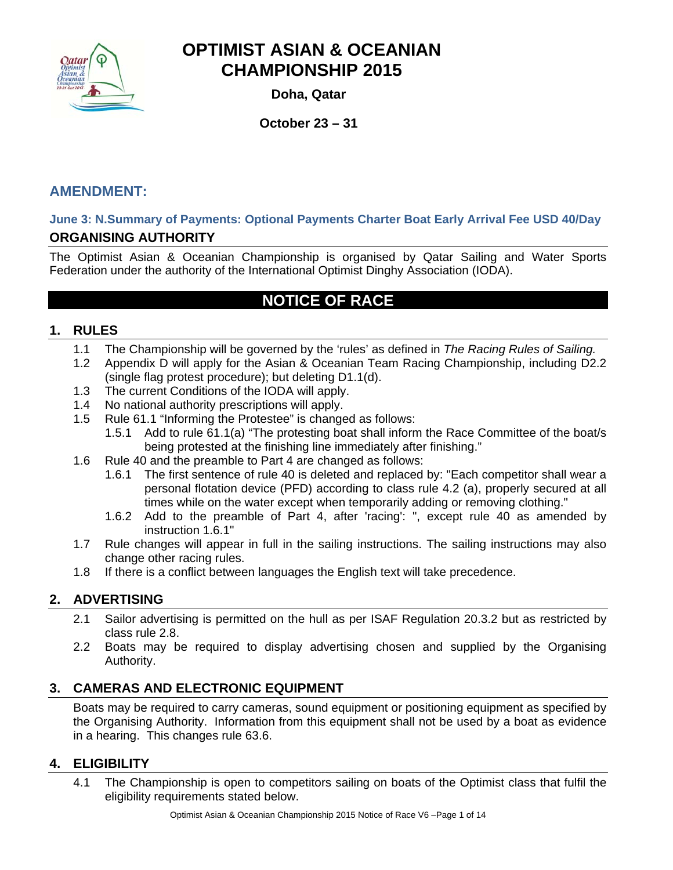

**Doha, Qatar** 

**October 23 – 31** 

### **AMENDMENT:**

### **June 3: N.Summary of Payments: Optional Payments Charter Boat Early Arrival Fee USD 40/Day ORGANISING AUTHORITY**

The Optimist Asian & Oceanian Championship is organised by Qatar Sailing and Water Sports Federation under the authority of the International Optimist Dinghy Association (IODA).

## **NOTICE OF RACE**

#### **1. RULES**

- 1.1 The Championship will be governed by the 'rules' as defined in *The Racing Rules of Sailing.*
- 1.2 Appendix D will apply for the Asian & Oceanian Team Racing Championship, including D2.2 (single flag protest procedure); but deleting D1.1(d).
- 1.3 The current Conditions of the IODA will apply.
- 1.4 No national authority prescriptions will apply.
- 1.5 Rule 61.1 "Informing the Protestee" is changed as follows:
	- 1.5.1 Add to rule 61.1(a) "The protesting boat shall inform the Race Committee of the boat/s being protested at the finishing line immediately after finishing."
- 1.6 Rule 40 and the preamble to Part 4 are changed as follows:
	- 1.6.1 The first sentence of rule 40 is deleted and replaced by: "Each competitor shall wear a personal flotation device (PFD) according to class rule 4.2 (a), properly secured at all times while on the water except when temporarily adding or removing clothing."
	- 1.6.2 Add to the preamble of Part 4, after 'racing': ", except rule 40 as amended by instruction 1.6.1"
- 1.7 Rule changes will appear in full in the sailing instructions. The sailing instructions may also change other racing rules.
- 1.8 If there is a conflict between languages the English text will take precedence.

### **2. ADVERTISING**

- 2.1 Sailor advertising is permitted on the hull as per ISAF Regulation 20.3.2 but as restricted by class rule 2.8.
- 2.2 Boats may be required to display advertising chosen and supplied by the Organising Authority.

### **3. CAMERAS AND ELECTRONIC EQUIPMENT**

Boats may be required to carry cameras, sound equipment or positioning equipment as specified by the Organising Authority. Information from this equipment shall not be used by a boat as evidence in a hearing. This changes rule 63.6.

### **4. ELIGIBILITY**

4.1 The Championship is open to competitors sailing on boats of the Optimist class that fulfil the eligibility requirements stated below.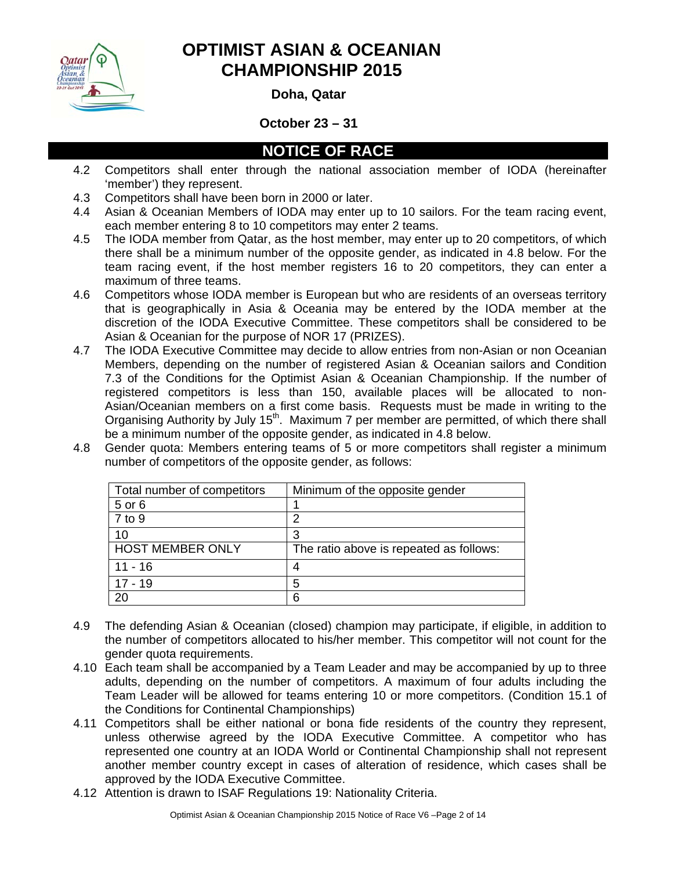

**Doha, Qatar** 

#### **October 23 – 31**

### **NOTICE OF RACE**

- 4.2 Competitors shall enter through the national association member of IODA (hereinafter 'member') they represent.
- 4.3 Competitors shall have been born in 2000 or later.
- 4.4 Asian & Oceanian Members of IODA may enter up to 10 sailors. For the team racing event, each member entering 8 to 10 competitors may enter 2 teams.
- 4.5 The IODA member from Qatar, as the host member, may enter up to 20 competitors, of which there shall be a minimum number of the opposite gender, as indicated in 4.8 below. For the team racing event, if the host member registers 16 to 20 competitors, they can enter a maximum of three teams.
- 4.6 Competitors whose IODA member is European but who are residents of an overseas territory that is geographically in Asia & Oceania may be entered by the IODA member at the discretion of the IODA Executive Committee. These competitors shall be considered to be Asian & Oceanian for the purpose of NOR 17 (PRIZES).
- 4.7 The IODA Executive Committee may decide to allow entries from non-Asian or non Oceanian Members, depending on the number of registered Asian & Oceanian sailors and Condition 7.3 of the Conditions for the Optimist Asian & Oceanian Championship. If the number of registered competitors is less than 150, available places will be allocated to non-Asian/Oceanian members on a first come basis. Requests must be made in writing to the Organising Authority by July 15<sup>th</sup>. Maximum 7 per member are permitted, of which there shall be a minimum number of the opposite gender, as indicated in 4.8 below.
- 4.8 Gender quota: Members entering teams of 5 or more competitors shall register a minimum number of competitors of the opposite gender, as follows:

| Total number of competitors | Minimum of the opposite gender          |
|-----------------------------|-----------------------------------------|
| 5 or 6                      |                                         |
| $7$ to $9$                  |                                         |
| 10                          |                                         |
| <b>HOST MEMBER ONLY</b>     | The ratio above is repeated as follows: |
| $11 - 16$                   |                                         |
| $17 - 19$                   | 5                                       |
| 20                          | 6                                       |

- 4.9 The defending Asian & Oceanian (closed) champion may participate, if eligible, in addition to the number of competitors allocated to his/her member. This competitor will not count for the gender quota requirements.
- 4.10 Each team shall be accompanied by a Team Leader and may be accompanied by up to three adults, depending on the number of competitors. A maximum of four adults including the Team Leader will be allowed for teams entering 10 or more competitors. (Condition 15.1 of the Conditions for Continental Championships)
- 4.11 Competitors shall be either national or bona fide residents of the country they represent, unless otherwise agreed by the IODA Executive Committee. A competitor who has represented one country at an IODA World or Continental Championship shall not represent another member country except in cases of alteration of residence, which cases shall be approved by the IODA Executive Committee.
- 4.12 Attention is drawn to ISAF Regulations 19: Nationality Criteria.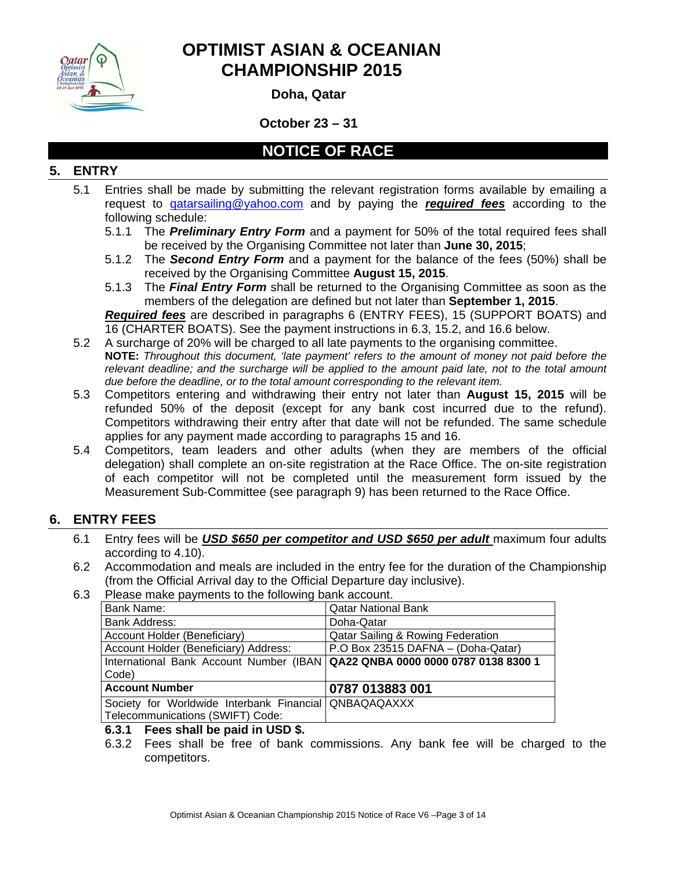

**Doha, Qatar** 

**October 23 – 31** 

## **NOTICE OF RACE**

### **5. ENTRY**

- 5.1 Entries shall be made by submitting the relevant registration forms available by emailing a request to qatarsailing@yahoo.com and by paying the *required fees* according to the following schedule:
	- 5.1.1 The *Preliminary Entry Form* and a payment for 50% of the total required fees shall be received by the Organising Committee not later than **June 30, 2015**;
	- 5.1.2 The *Second Entry Form* and a payment for the balance of the fees (50%) shall be received by the Organising Committee **August 15, 2015**.
	- 5.1.3 The *Final Entry Form* shall be returned to the Organising Committee as soon as the members of the delegation are defined but not later than **September 1, 2015**.

*Required fees* are described in paragraphs 6 (ENTRY FEES), 15 (SUPPORT BOATS) and 16 (CHARTER BOATS). See the payment instructions in 6.3, 15.2, and 16.6 below.

- 5.2 A surcharge of 20% will be charged to all late payments to the organising committee. **NOTE:** *Throughout this document, 'late payment' refers to the amount of money not paid before the relevant deadline; and the surcharge will be applied to the amount paid late, not to the total amount due before the deadline, or to the total amount corresponding to the relevant item.*
- 5.3 Competitors entering and withdrawing their entry not later than **August 15, 2015** will be refunded 50% of the deposit (except for any bank cost incurred due to the refund). Competitors withdrawing their entry after that date will not be refunded. The same schedule applies for any payment made according to paragraphs 15 and 16.
- 5.4 Competitors, team leaders and other adults (when they are members of the official delegation) shall complete an on-site registration at the Race Office. The on-site registration of each competitor will not be completed until the measurement form issued by the Measurement Sub-Committee (see paragraph 9) has been returned to the Race Office.

### **6. ENTRY FEES**

- 6.1 Entry fees will be *USD \$650 per competitor and USD \$650 per adult* maximum four adults according to 4.10).
- 6.2 Accommodation and meals are included in the entry fee for the duration of the Championship (from the Official Arrival day to the Official Departure day inclusive).
- 6.3 Please make payments to the following bank account.

| Bank Name:                                                                     | <b>Qatar National Bank</b>                   |  |  |  |
|--------------------------------------------------------------------------------|----------------------------------------------|--|--|--|
| <b>Bank Address:</b>                                                           | Doha-Qatar                                   |  |  |  |
| Account Holder (Beneficiary)                                                   | <b>Qatar Sailing &amp; Rowing Federation</b> |  |  |  |
| Account Holder (Beneficiary) Address:                                          | P.O Box 23515 DAFNA - (Doha-Qatar)           |  |  |  |
| International Bank Account Number (IBAN   QA22 QNBA 0000 0000 0787 0138 8300 1 |                                              |  |  |  |
| Code)                                                                          |                                              |  |  |  |
| <b>Account Number</b>                                                          | 0787 013883 001                              |  |  |  |
| Society for Worldwide Interbank Financial QNBAQAQAXXX                          |                                              |  |  |  |
| Telecommunications (SWIFT) Code:                                               |                                              |  |  |  |

#### **6.3.1 Fees shall be paid in USD \$.**

6.3.2 Fees shall be free of bank commissions. Any bank fee will be charged to the competitors.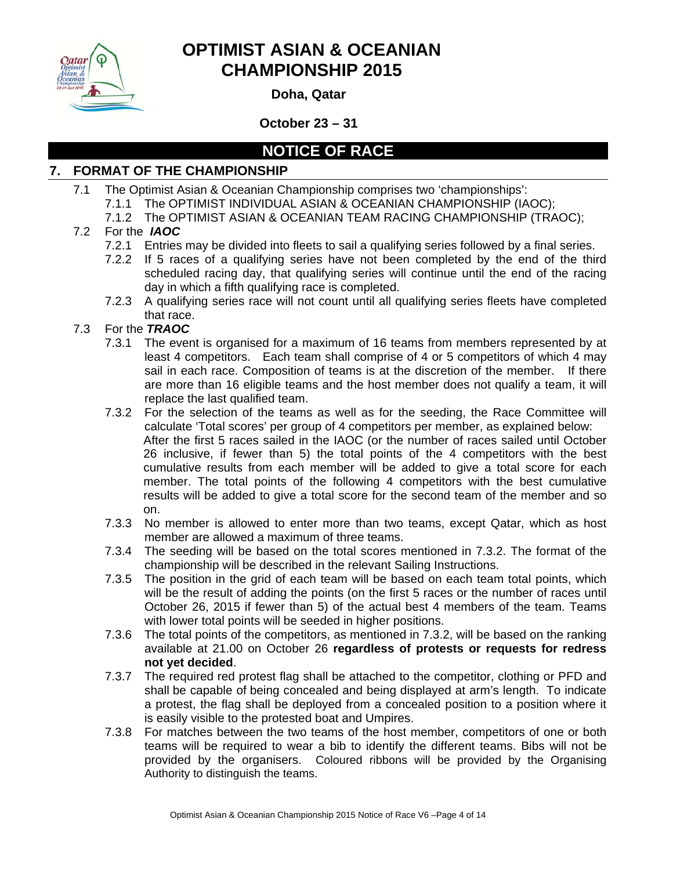

**Doha, Qatar** 

**October 23 – 31** 

## **NOTICE OF RACE**

### **7. FORMAT OF THE CHAMPIONSHIP**

- 7.1 The Optimist Asian & Oceanian Championship comprises two 'championships':
	- 7.1.1 The OPTIMIST INDIVIDUAL ASIAN & OCEANIAN CHAMPIONSHIP (IAOC);
	- 7.1.2 The OPTIMIST ASIAN & OCEANIAN TEAM RACING CHAMPIONSHIP (TRAOC);

### 7.2 For the *IAOC*

- 7.2.1 Entries may be divided into fleets to sail a qualifying series followed by a final series.
- 7.2.2 If 5 races of a qualifying series have not been completed by the end of the third scheduled racing day, that qualifying series will continue until the end of the racing day in which a fifth qualifying race is completed.
- 7.2.3 A qualifying series race will not count until all qualifying series fleets have completed that race.

### 7.3 For the *TRAOC*

- 7.3.1 The event is organised for a maximum of 16 teams from members represented by at least 4 competitors. Each team shall comprise of 4 or 5 competitors of which 4 may sail in each race. Composition of teams is at the discretion of the member. If there are more than 16 eligible teams and the host member does not qualify a team, it will replace the last qualified team.
- 7.3.2 For the selection of the teams as well as for the seeding, the Race Committee will calculate 'Total scores' per group of 4 competitors per member, as explained below: After the first 5 races sailed in the IAOC (or the number of races sailed until October 26 inclusive, if fewer than 5) the total points of the 4 competitors with the best cumulative results from each member will be added to give a total score for each member. The total points of the following 4 competitors with the best cumulative results will be added to give a total score for the second team of the member and so on.
- 7.3.3 No member is allowed to enter more than two teams, except Qatar, which as host member are allowed a maximum of three teams.
- 7.3.4 The seeding will be based on the total scores mentioned in 7.3.2. The format of the championship will be described in the relevant Sailing Instructions.
- 7.3.5 The position in the grid of each team will be based on each team total points, which will be the result of adding the points (on the first 5 races or the number of races until October 26, 2015 if fewer than 5) of the actual best 4 members of the team. Teams with lower total points will be seeded in higher positions.
- 7.3.6 The total points of the competitors, as mentioned in 7.3.2, will be based on the ranking available at 21.00 on October 26 **regardless of protests or requests for redress not yet decided**.
- 7.3.7 The required red protest flag shall be attached to the competitor, clothing or PFD and shall be capable of being concealed and being displayed at arm's length. To indicate a protest, the flag shall be deployed from a concealed position to a position where it is easily visible to the protested boat and Umpires.
- 7.3.8 For matches between the two teams of the host member, competitors of one or both teams will be required to wear a bib to identify the different teams. Bibs will not be provided by the organisers. Coloured ribbons will be provided by the Organising Authority to distinguish the teams.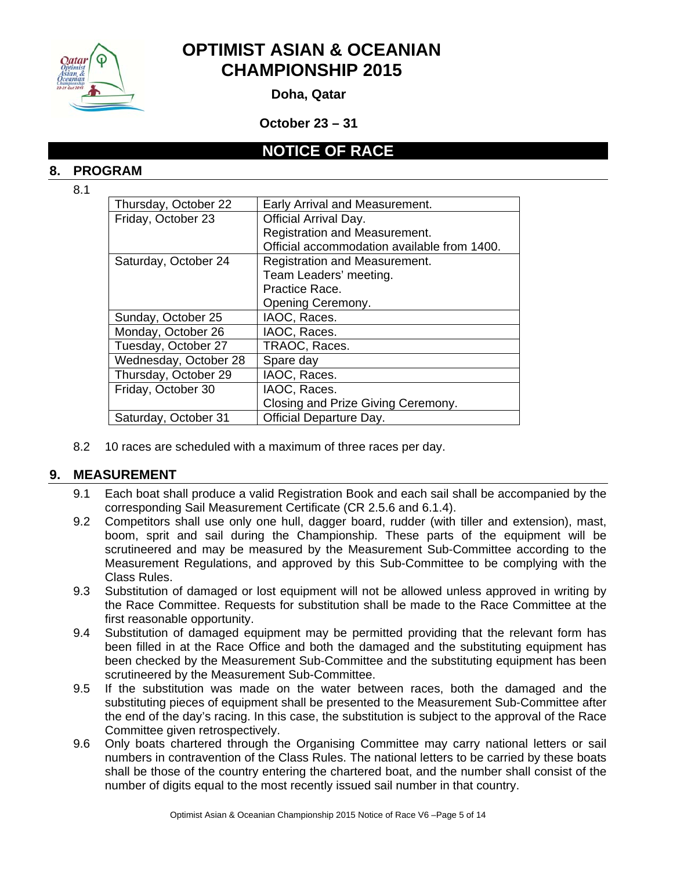

**Doha, Qatar** 

**October 23 – 31** 

### **NOTICE OF RACE**

#### **8. PROGRAM**

8.1

| Thursday, October 22  | Early Arrival and Measurement.              |
|-----------------------|---------------------------------------------|
| Friday, October 23    | <b>Official Arrival Day.</b>                |
|                       | Registration and Measurement.               |
|                       | Official accommodation available from 1400. |
| Saturday, October 24  | Registration and Measurement.               |
|                       | Team Leaders' meeting.                      |
|                       | Practice Race.                              |
|                       | Opening Ceremony.                           |
| Sunday, October 25    | IAOC, Races.                                |
| Monday, October 26    | IAOC, Races.                                |
| Tuesday, October 27   | TRAOC, Races.                               |
| Wednesday, October 28 | Spare day                                   |
| Thursday, October 29  | IAOC, Races.                                |
| Friday, October 30    | IAOC, Races.                                |
|                       | Closing and Prize Giving Ceremony.          |
| Saturday, October 31  | Official Departure Day.                     |

8.2 10 races are scheduled with a maximum of three races per day.

### **9. MEASUREMENT**

- 9.1 Each boat shall produce a valid Registration Book and each sail shall be accompanied by the corresponding Sail Measurement Certificate (CR 2.5.6 and 6.1.4).
- 9.2 Competitors shall use only one hull, dagger board, rudder (with tiller and extension), mast, boom, sprit and sail during the Championship. These parts of the equipment will be scrutineered and may be measured by the Measurement Sub-Committee according to the Measurement Regulations, and approved by this Sub-Committee to be complying with the Class Rules.
- 9.3 Substitution of damaged or lost equipment will not be allowed unless approved in writing by the Race Committee. Requests for substitution shall be made to the Race Committee at the first reasonable opportunity.
- 9.4 Substitution of damaged equipment may be permitted providing that the relevant form has been filled in at the Race Office and both the damaged and the substituting equipment has been checked by the Measurement Sub-Committee and the substituting equipment has been scrutineered by the Measurement Sub-Committee.
- 9.5 If the substitution was made on the water between races, both the damaged and the substituting pieces of equipment shall be presented to the Measurement Sub-Committee after the end of the day's racing. In this case, the substitution is subject to the approval of the Race Committee given retrospectively.
- 9.6 Only boats chartered through the Organising Committee may carry national letters or sail numbers in contravention of the Class Rules. The national letters to be carried by these boats shall be those of the country entering the chartered boat, and the number shall consist of the number of digits equal to the most recently issued sail number in that country.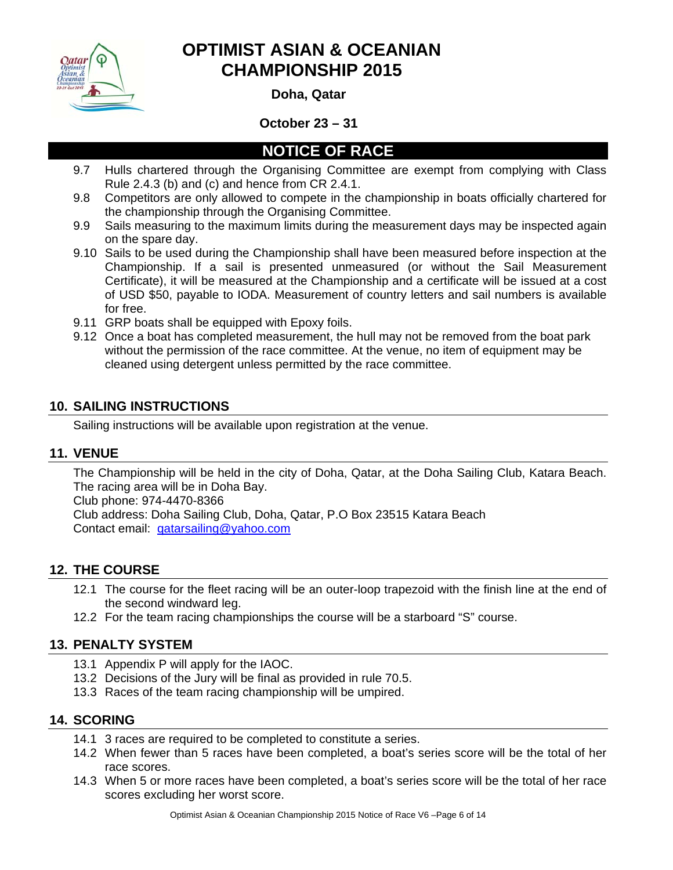

**Doha, Qatar** 

### **October 23 – 31**

## **NOTICE OF RACE**

- 9.7 Hulls chartered through the Organising Committee are exempt from complying with Class Rule 2.4.3 (b) and (c) and hence from CR 2.4.1.
- 9.8 Competitors are only allowed to compete in the championship in boats officially chartered for the championship through the Organising Committee.
- 9.9 Sails measuring to the maximum limits during the measurement days may be inspected again on the spare day.
- 9.10 Sails to be used during the Championship shall have been measured before inspection at the Championship. If a sail is presented unmeasured (or without the Sail Measurement Certificate), it will be measured at the Championship and a certificate will be issued at a cost of USD \$50, payable to IODA. Measurement of country letters and sail numbers is available for free.
- 9.11 GRP boats shall be equipped with Epoxy foils.
- 9.12 Once a boat has completed measurement, the hull may not be removed from the boat park without the permission of the race committee. At the venue, no item of equipment may be cleaned using detergent unless permitted by the race committee.

### **10. SAILING INSTRUCTIONS**

Sailing instructions will be available upon registration at the venue.

### **11. VENUE**

The Championship will be held in the city of Doha, Qatar, at the Doha Sailing Club, Katara Beach. The racing area will be in Doha Bay. Club phone: 974-4470-8366 Club address: Doha Sailing Club, Doha, Qatar, P.O Box 23515 Katara Beach

Contact email: qatarsailing@yahoo.com

### **12. THE COURSE**

- 12.1 The course for the fleet racing will be an outer-loop trapezoid with the finish line at the end of the second windward leg.
- 12.2 For the team racing championships the course will be a starboard "S" course.

### **13. PENALTY SYSTEM**

- 13.1 Appendix P will apply for the IAOC.
- 13.2 Decisions of the Jury will be final as provided in rule 70.5.
- 13.3 Races of the team racing championship will be umpired.

### **14. SCORING**

- 14.1 3 races are required to be completed to constitute a series.
- 14.2 When fewer than 5 races have been completed, a boat's series score will be the total of her race scores.
- 14.3 When 5 or more races have been completed, a boat's series score will be the total of her race scores excluding her worst score.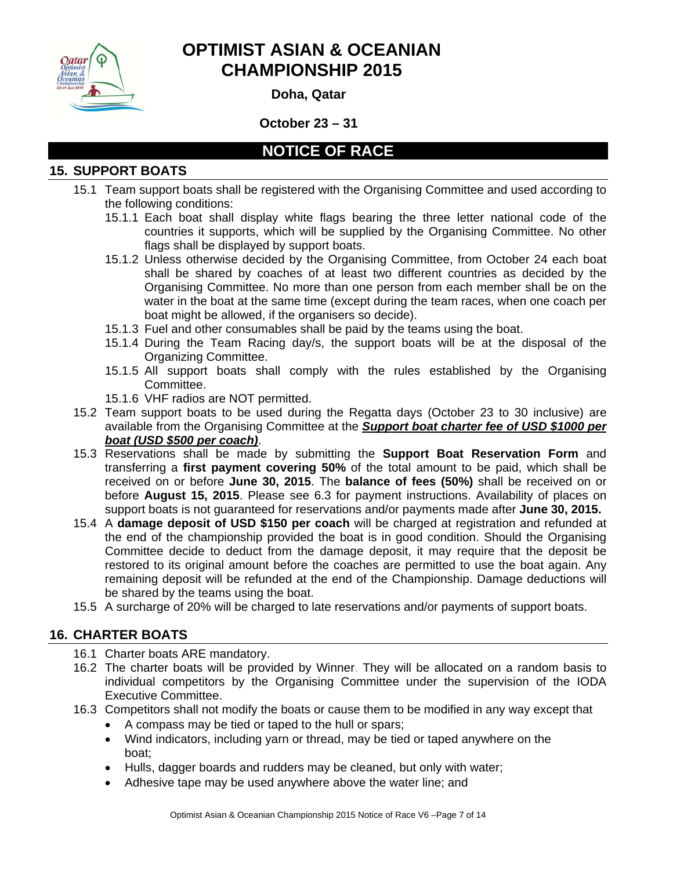

**Doha, Qatar** 

**October 23 – 31** 

## **NOTICE OF RACE**

### **15. SUPPORT BOATS**

- 15.1 Team support boats shall be registered with the Organising Committee and used according to the following conditions:
	- 15.1.1 Each boat shall display white flags bearing the three letter national code of the countries it supports, which will be supplied by the Organising Committee. No other flags shall be displayed by support boats.
	- 15.1.2 Unless otherwise decided by the Organising Committee, from October 24 each boat shall be shared by coaches of at least two different countries as decided by the Organising Committee. No more than one person from each member shall be on the water in the boat at the same time (except during the team races, when one coach per boat might be allowed, if the organisers so decide).
	- 15.1.3 Fuel and other consumables shall be paid by the teams using the boat.
	- 15.1.4 During the Team Racing day/s, the support boats will be at the disposal of the Organizing Committee.
	- 15.1.5 All support boats shall comply with the rules established by the Organising Committee.
	- 15.1.6 VHF radios are NOT permitted.
- 15.2 Team support boats to be used during the Regatta days (October 23 to 30 inclusive) are available from the Organising Committee at the *Support boat charter fee of USD \$1000 per boat (USD \$500 per coach)*.
- 15.3 Reservations shall be made by submitting the **Support Boat Reservation Form** and transferring a **first payment covering 50%** of the total amount to be paid, which shall be received on or before **June 30, 2015**. The **balance of fees (50%)** shall be received on or before **August 15, 2015**. Please see 6.3 for payment instructions. Availability of places on support boats is not guaranteed for reservations and/or payments made after **June 30, 2015.**
- 15.4 A **damage deposit of USD \$150 per coach** will be charged at registration and refunded at the end of the championship provided the boat is in good condition. Should the Organising Committee decide to deduct from the damage deposit, it may require that the deposit be restored to its original amount before the coaches are permitted to use the boat again. Any remaining deposit will be refunded at the end of the Championship. Damage deductions will be shared by the teams using the boat.
- 15.5 A surcharge of 20% will be charged to late reservations and/or payments of support boats.

### **16. CHARTER BOATS**

- 16.1 Charter boats ARE mandatory.
- 16.2 The charter boats will be provided by Winner. They will be allocated on a random basis to individual competitors by the Organising Committee under the supervision of the IODA Executive Committee.
- 16.3 Competitors shall not modify the boats or cause them to be modified in any way except that
	- A compass may be tied or taped to the hull or spars;
	- Wind indicators, including yarn or thread, may be tied or taped anywhere on the boat;
	- Hulls, dagger boards and rudders may be cleaned, but only with water;
	- Adhesive tape may be used anywhere above the water line; and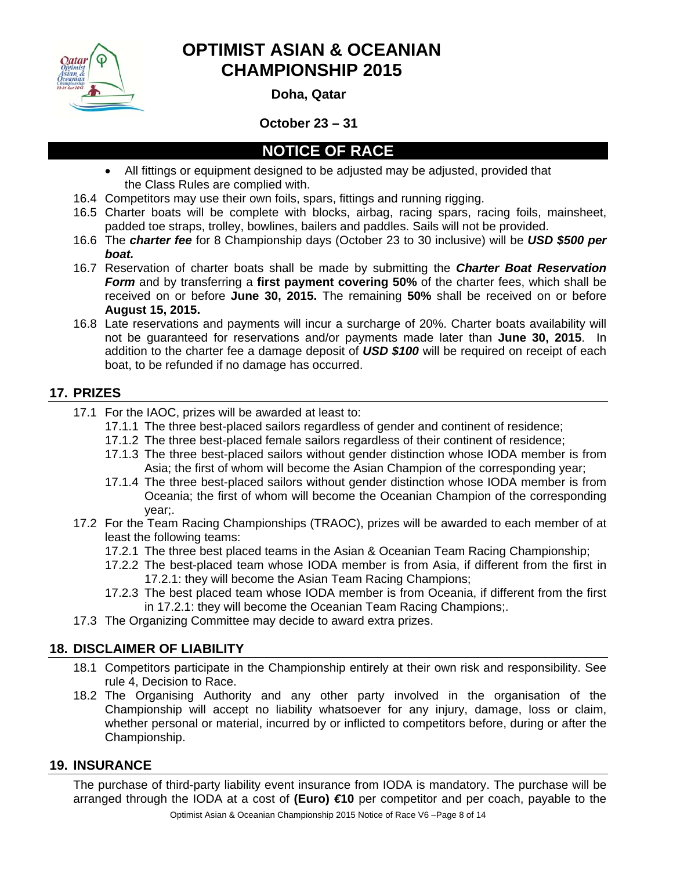

**Doha, Qatar** 

**October 23 – 31** 

## **NOTICE OF RACE**

- All fittings or equipment designed to be adjusted may be adjusted, provided that the Class Rules are complied with.
- 16.4 Competitors may use their own foils, spars, fittings and running rigging.
- 16.5 Charter boats will be complete with blocks, airbag, racing spars, racing foils, mainsheet, padded toe straps, trolley, bowlines, bailers and paddles. Sails will not be provided.
- 16.6 The *charter fee* for 8 Championship days (October 23 to 30 inclusive) will be *USD \$500 per boat.*
- 16.7 Reservation of charter boats shall be made by submitting the *Charter Boat Reservation Form* and by transferring a **first payment covering 50%** of the charter fees, which shall be received on or before **June 30, 2015.** The remaining **50%** shall be received on or before **August 15, 2015.**
- 16.8 Late reservations and payments will incur a surcharge of 20%. Charter boats availability will not be guaranteed for reservations and/or payments made later than **June 30, 2015**. In addition to the charter fee a damage deposit of *USD \$100* will be required on receipt of each boat, to be refunded if no damage has occurred.

### **17. PRIZES**

- 17.1 For the IAOC, prizes will be awarded at least to:
	- 17.1.1 The three best-placed sailors regardless of gender and continent of residence;
	- 17.1.2 The three best-placed female sailors regardless of their continent of residence;
	- 17.1.3 The three best-placed sailors without gender distinction whose IODA member is from Asia; the first of whom will become the Asian Champion of the corresponding year;
	- 17.1.4 The three best-placed sailors without gender distinction whose IODA member is from Oceania; the first of whom will become the Oceanian Champion of the corresponding year;.
- 17.2 For the Team Racing Championships (TRAOC), prizes will be awarded to each member of at least the following teams:
	- 17.2.1 The three best placed teams in the Asian & Oceanian Team Racing Championship;
	- 17.2.2 The best-placed team whose IODA member is from Asia, if different from the first in 17.2.1: they will become the Asian Team Racing Champions;
	- 17.2.3 The best placed team whose IODA member is from Oceania, if different from the first in 17.2.1: they will become the Oceanian Team Racing Champions;.
- 17.3 The Organizing Committee may decide to award extra prizes.

### **18. DISCLAIMER OF LIABILITY**

- 18.1 Competitors participate in the Championship entirely at their own risk and responsibility. See rule 4, Decision to Race.
- 18.2 The Organising Authority and any other party involved in the organisation of the Championship will accept no liability whatsoever for any injury, damage, loss or claim, whether personal or material, incurred by or inflicted to competitors before, during or after the Championship.

### **19. INSURANCE**

The purchase of third-party liability event insurance from IODA is mandatory. The purchase will be arranged through the IODA at a cost of **(Euro)** *€***10** per competitor and per coach, payable to the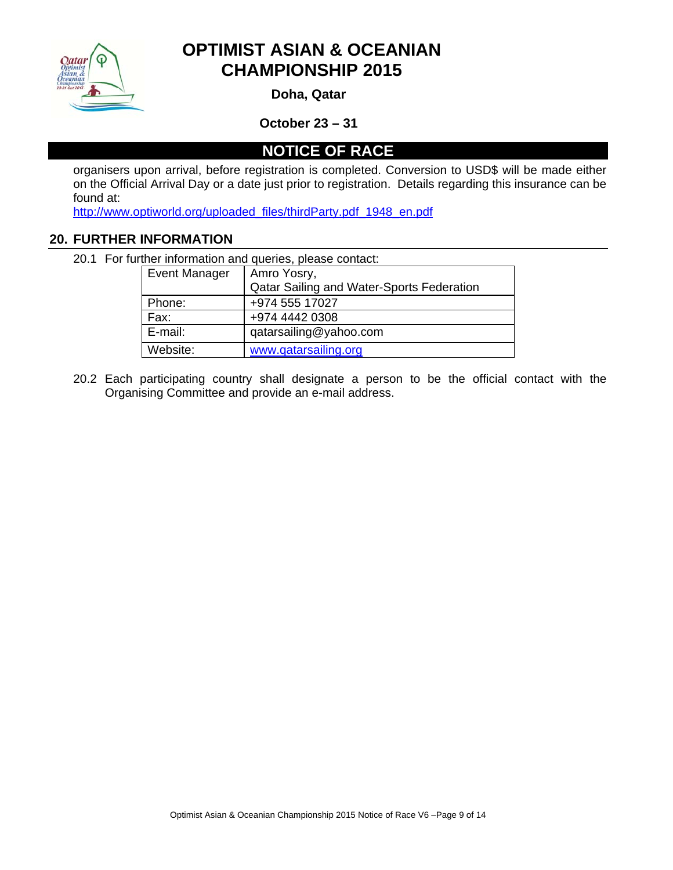

**Doha, Qatar** 

**October 23 – 31** 

**NOTICE OF RACE** 

organisers upon arrival, before registration is completed. Conversion to USD\$ will be made either on the Official Arrival Day or a date just prior to registration. Details regarding this insurance can be found at:

http://www.optiworld.org/uploaded\_files/thirdParty.pdf\_1948\_en.pdf

#### **20. FURTHER INFORMATION**

20.1 For further information and queries, please contact:

| <b>Event Manager</b> | Amro Yosry,                               |  |
|----------------------|-------------------------------------------|--|
|                      | Qatar Sailing and Water-Sports Federation |  |
| Phone:               | +974 555 17027                            |  |
| Fax:                 | +974 4442 0308                            |  |
| E-mail:              | qatarsailing@yahoo.com                    |  |
| Website:             | www.gatarsailing.org                      |  |

20.2 Each participating country shall designate a person to be the official contact with the Organising Committee and provide an e-mail address.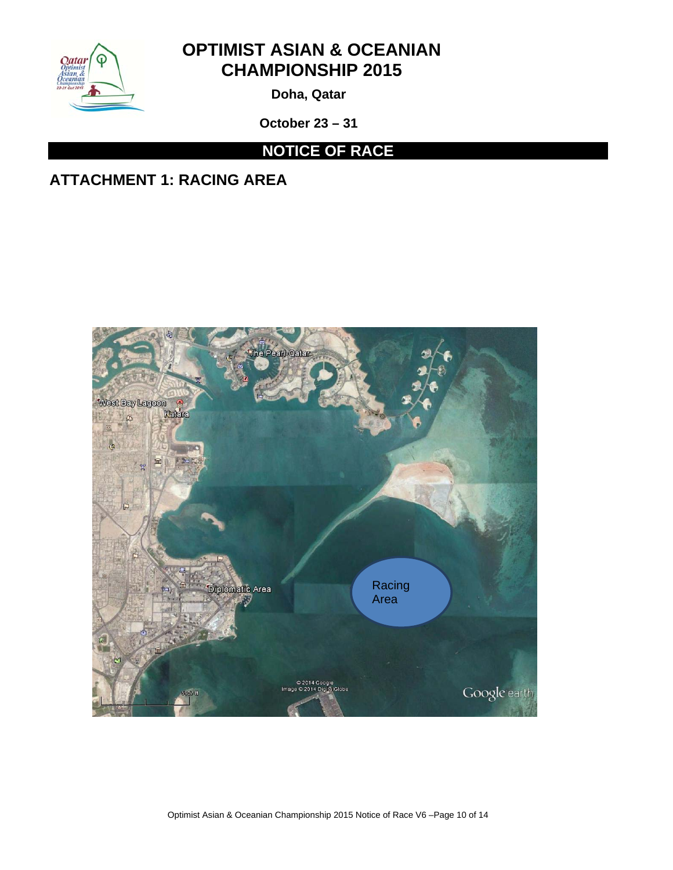

**Doha, Qatar** 

**October 23 – 31** 

# **NOTICE OF RACE**

# **ATTACHMENT 1: RACING AREA**



Optimist Asian & Oceanian Championship 2015 Notice of Race V6 –Page 10 of 14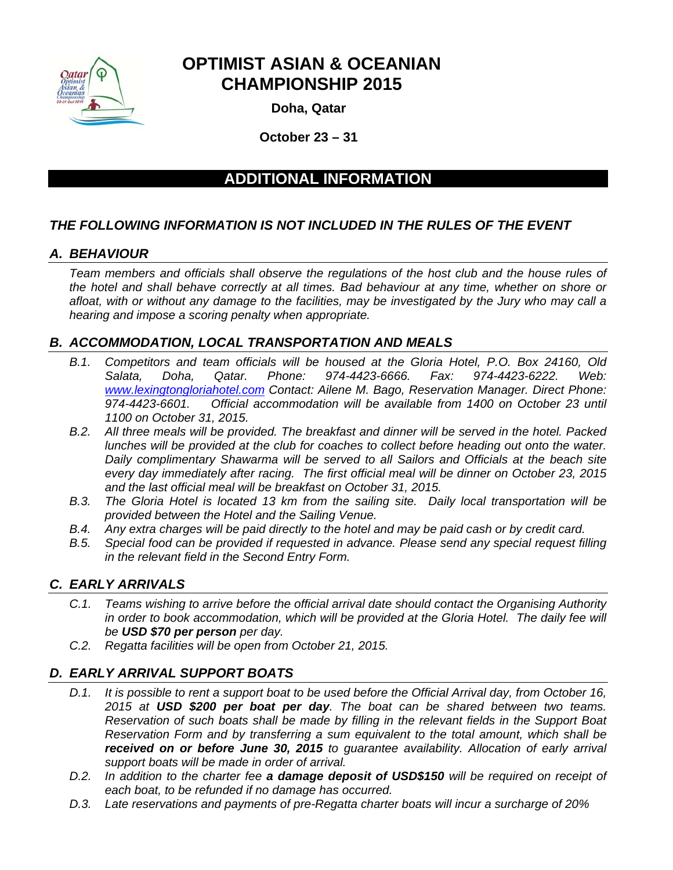

**Doha, Qatar** 

**October 23 – 31**

### **ADDITIONAL INFORMATION**

### *THE FOLLOWING INFORMATION IS NOT INCLUDED IN THE RULES OF THE EVENT*

### *A. BEHAVIOUR*

*Team members and officials shall observe the regulations of the host club and the house rules of the hotel and shall behave correctly at all times. Bad behaviour at any time, whether on shore or afloat, with or without any damage to the facilities, may be investigated by the Jury who may call a hearing and impose a scoring penalty when appropriate.* 

### *B. ACCOMMODATION, LOCAL TRANSPORTATION AND MEALS*

- *B.1. Competitors and team officials will be housed at the Gloria Hotel, P.O. Box 24160, Old Salata, Doha, Qatar. Phone: 974-4423-6666. Fax: 974-4423-6222. Web: www.lexingtongloriahotel.com Contact: Ailene M. Bago, Reservation Manager. Direct Phone: 974-4423-6601. Official accommodation will be available from 1400 on October 23 until 1100 on October 31, 2015.*
- *B.2. All three meals will be provided. The breakfast and dinner will be served in the hotel. Packed lunches will be provided at the club for coaches to collect before heading out onto the water. Daily complimentary Shawarma will be served to all Sailors and Officials at the beach site every day immediately after racing. The first official meal will be dinner on October 23, 2015 and the last official meal will be breakfast on October 31, 2015.*
- *B.3. The Gloria Hotel is located 13 km from the sailing site. Daily local transportation will be provided between the Hotel and the Sailing Venue.*
- *B.4. Any extra charges will be paid directly to the hotel and may be paid cash or by credit card.*
- *B.5. Special food can be provided if requested in advance. Please send any special request filling in the relevant field in the Second Entry Form.*

### *C. EARLY ARRIVALS*

- *C.1. Teams wishing to arrive before the official arrival date should contact the Organising Authority*  in order to book accommodation, which will be provided at the Gloria Hotel. The daily fee will *be USD \$70 per person per day.*
- *C.2. Regatta facilities will be open from October 21, 2015.*

### *D. EARLY ARRIVAL SUPPORT BOATS*

- *D.1. It is possible to rent a support boat to be used before the Official Arrival day, from October 16, 2015 at USD \$200 per boat per day. The boat can be shared between two teams. Reservation of such boats shall be made by filling in the relevant fields in the Support Boat Reservation Form and by transferring a sum equivalent to the total amount, which shall be received on or before June 30, 2015 to guarantee availability. Allocation of early arrival support boats will be made in order of arrival.*
- *D.2. In addition to the charter fee a damage deposit of USD\$150 will be required on receipt of each boat, to be refunded if no damage has occurred.*
- *D.3. Late reservations and payments of pre-Regatta charter boats will incur a surcharge of 20%*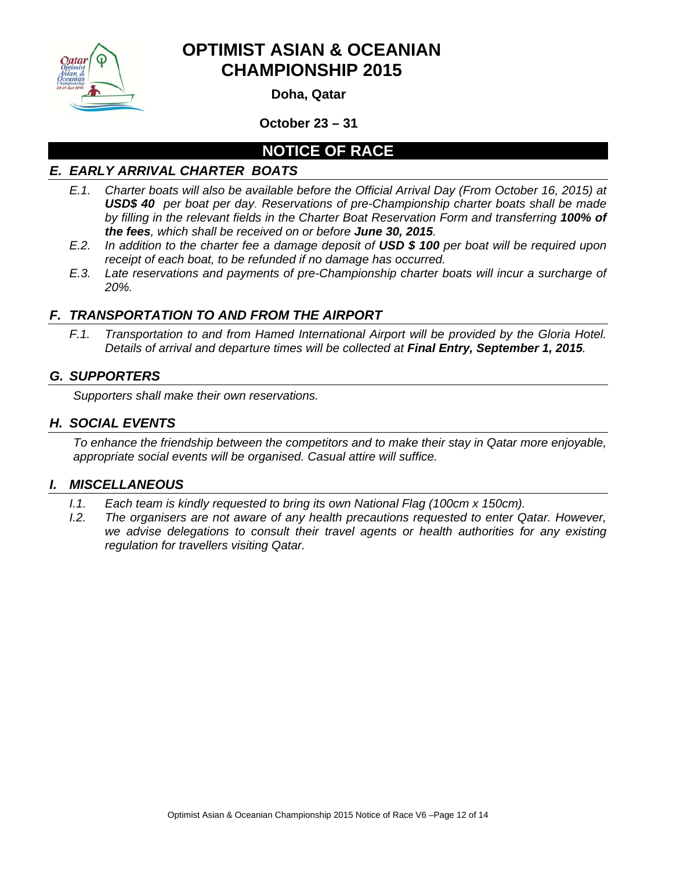

**Doha, Qatar** 

**October 23 – 31** 

## **NOTICE OF RACE**

### *E. EARLY ARRIVAL CHARTER BOATS*

- *E.1. Charter boats will also be available before the Official Arrival Day (From October 16, 2015) at USD\$ 40 per boat per day. Reservations of pre-Championship charter boats shall be made by filling in the relevant fields in the Charter Boat Reservation Form and transferring 100% of the fees, which shall be received on or before June 30, 2015.*
- *E.2. In addition to the charter fee a damage deposit of USD \$ 100 per boat will be required upon receipt of each boat, to be refunded if no damage has occurred.*
- *E.3. Late reservations and payments of pre-Championship charter boats will incur a surcharge of 20%.*

### *F. TRANSPORTATION TO AND FROM THE AIRPORT*

*F.1. Transportation to and from Hamed International Airport will be provided by the Gloria Hotel. Details of arrival and departure times will be collected at Final Entry, September 1, 2015.* 

### *G. SUPPORTERS*

*Supporters shall make their own reservations.* 

### *H. SOCIAL EVENTS*

*To enhance the friendship between the competitors and to make their stay in Qatar more enjoyable, appropriate social events will be organised. Casual attire will suffice.*

### *I. MISCELLANEOUS*

- *I.1.* Each team is kindly requested to bring its own National Flag (100cm x 150cm).
- *I.2.* The organisers are not aware of any health precautions requested to enter Qatar. However, *we advise delegations to consult their travel agents or health authorities for any existing regulation for travellers visiting Qatar.*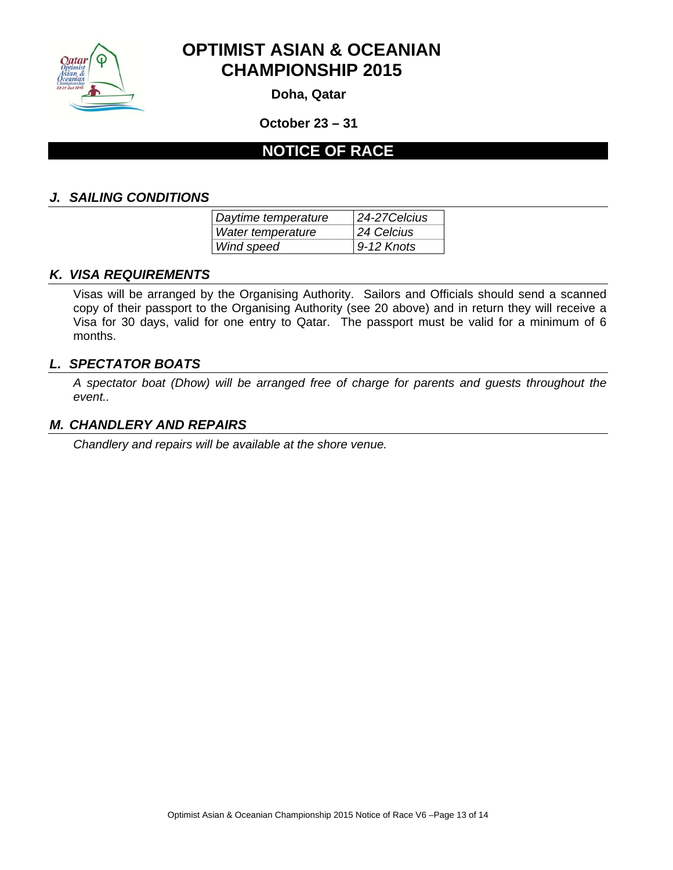

**Doha, Qatar** 

**October 23 – 31** 

## **NOTICE OF RACE**

#### *J. SAILING CONDITIONS*

| Daytime temperature | 24-27 Celcius |  |
|---------------------|---------------|--|
| Water temperature   | 24 Celcius    |  |
| Wind speed          | $9-12$ Knots  |  |

#### *K. VISA REQUIREMENTS*

Visas will be arranged by the Organising Authority. Sailors and Officials should send a scanned copy of their passport to the Organising Authority (see 20 above) and in return they will receive a Visa for 30 days, valid for one entry to Qatar. The passport must be valid for a minimum of 6 months.

#### *L. SPECTATOR BOATS*

*A spectator boat (Dhow) will be arranged free of charge for parents and guests throughout the event..* 

#### *M. CHANDLERY AND REPAIRS*

*Chandlery and repairs will be available at the shore venue.*